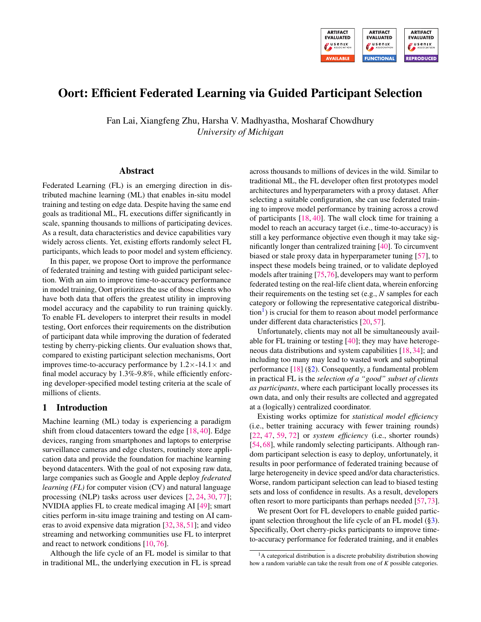

# Oort: Efficient Federated Learning via Guided Participant Selection

Fan Lai, Xiangfeng Zhu, Harsha V. Madhyastha, Mosharaf Chowdhury *University of Michigan*

### Abstract

Federated Learning (FL) is an emerging direction in distributed machine learning (ML) that enables in-situ model training and testing on edge data. Despite having the same end goals as traditional ML, FL executions differ significantly in scale, spanning thousands to millions of participating devices. As a result, data characteristics and device capabilities vary widely across clients. Yet, existing efforts randomly select FL participants, which leads to poor model and system efficiency.

In this paper, we propose Oort to improve the performance of federated training and testing with guided participant selection. With an aim to improve time-to-accuracy performance in model training, Oort prioritizes the use of those clients who have both data that offers the greatest utility in improving model accuracy and the capability to run training quickly. To enable FL developers to interpret their results in model testing, Oort enforces their requirements on the distribution of participant data while improving the duration of federated testing by cherry-picking clients. Our evaluation shows that, compared to existing participant selection mechanisms, Oort improves time-to-accuracy performance by  $1.2 \times -14.1 \times$  and final model accuracy by 1.3%-9.8%, while efficiently enforcing developer-specified model testing criteria at the scale of millions of clients.

### 1 Introduction

Machine learning (ML) today is experiencing a paradigm shift from cloud datacenters toward the edge [\[18,](#page-14-0) [40\]](#page-15-0). Edge devices, ranging from smartphones and laptops to enterprise surveillance cameras and edge clusters, routinely store application data and provide the foundation for machine learning beyond datacenters. With the goal of not exposing raw data, large companies such as Google and Apple deploy *federated learning (FL)* for computer vision (CV) and natural language processing (NLP) tasks across user devices [\[2,](#page-13-0) [24,](#page-14-1) [30,](#page-14-2) [77\]](#page-16-0); NVIDIA applies FL to create medical imaging AI [\[49\]](#page-15-1); smart cities perform in-situ image training and testing on AI cameras to avoid expensive data migration [\[32,](#page-14-3) [38,](#page-14-4) [51\]](#page-15-2); and video streaming and networking communities use FL to interpret and react to network conditions [\[10,](#page-13-1) [76\]](#page-16-1).

Although the life cycle of an FL model is similar to that in traditional ML, the underlying execution in FL is spread

across thousands to millions of devices in the wild. Similar to traditional ML, the FL developer often first prototypes model architectures and hyperparameters with a proxy dataset. After selecting a suitable configuration, she can use federated training to improve model performance by training across a crowd of participants [\[18,](#page-14-0) [40\]](#page-15-0). The wall clock time for training a model to reach an accuracy target (i.e., time-to-accuracy) is still a key performance objective even though it may take significantly longer than centralized training [\[40\]](#page-15-0). To circumvent biased or stale proxy data in hyperparameter tuning [\[57\]](#page-15-3), to inspect these models being trained, or to validate deployed models after training [\[75,](#page-16-2)[76\]](#page-16-1), developers may want to perform federated testing on the real-life client data, wherein enforcing their requirements on the testing set (e.g., *N* samples for each category or following the representative categorical distribu- $\text{tion}^1$  $\text{tion}^1$ ) is crucial for them to reason about model performance under different data characteristics [\[20,](#page-14-5) [57\]](#page-15-3).

Unfortunately, clients may not all be simultaneously available for FL training or testing [\[40\]](#page-15-0); they may have heterogeneous data distributions and system capabilities [\[18,](#page-14-0) [34\]](#page-14-6); and including too many may lead to wasted work and suboptimal performance [\[18\]](#page-14-0) ([§2\)](#page-1-0). Consequently, a fundamental problem in practical FL is the *selection of a "good" subset of clients as participants*, where each participant locally processes its own data, and only their results are collected and aggregated at a (logically) centralized coordinator.

Existing works optimize for *statistical model efficiency* (i.e., better training accuracy with fewer training rounds) [\[22,](#page-14-7) [47,](#page-15-4) [59,](#page-15-5) [72\]](#page-16-3) or *system efficiency* (i.e., shorter rounds) [\[54,](#page-15-6) [68\]](#page-16-4), while randomly selecting participants. Although random participant selection is easy to deploy, unfortunately, it results in poor performance of federated training because of large heterogeneity in device speed and/or data characteristics. Worse, random participant selection can lead to biased testing sets and loss of confidence in results. As a result, developers often resort to more participants than perhaps needed [\[57,](#page-15-3)[73\]](#page-16-5).

We present Oort for FL developers to enable guided participant selection throughout the life cycle of an FL model  $(\S_3)$ . Specifically, Oort cherry-picks participants to improve timeto-accuracy performance for federated training, and it enables

<span id="page-0-0"></span><sup>&</sup>lt;sup>1</sup>A categorical distribution is a discrete probability distribution showing how a random variable can take the result from one of *K* possible categories.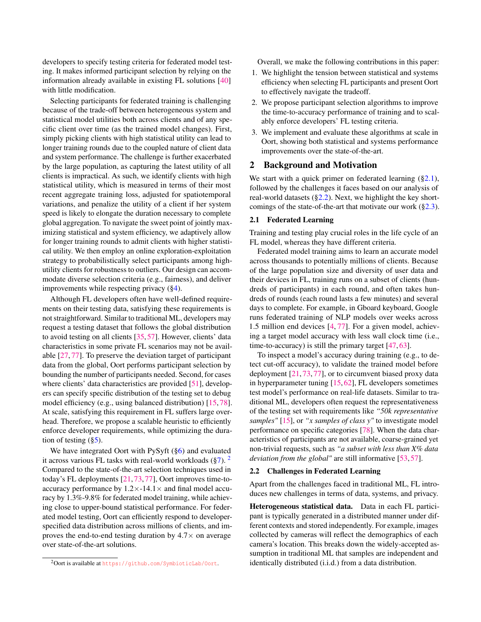developers to specify testing criteria for federated model testing. It makes informed participant selection by relying on the information already available in existing FL solutions [\[40\]](#page-15-0) with little modification.

Selecting participants for federated training is challenging because of the trade-off between heterogeneous system and statistical model utilities both across clients and of any specific client over time (as the trained model changes). First, simply picking clients with high statistical utility can lead to longer training rounds due to the coupled nature of client data and system performance. The challenge is further exacerbated by the large population, as capturing the latest utility of all clients is impractical. As such, we identify clients with high statistical utility, which is measured in terms of their most recent aggregate training loss, adjusted for spatiotemporal variations, and penalize the utility of a client if her system speed is likely to elongate the duration necessary to complete global aggregation. To navigate the sweet point of jointly maximizing statistical and system efficiency, we adaptively allow for longer training rounds to admit clients with higher statistical utility. We then employ an online exploration-exploitation strategy to probabilistically select participants among highutility clients for robustness to outliers. Our design can accommodate diverse selection criteria (e.g., fairness), and deliver improvements while respecting privacy ([§4\)](#page-4-0).

Although FL developers often have well-defined requirements on their testing data, satisfying these requirements is not straightforward. Similar to traditional ML, developers may request a testing dataset that follows the global distribution to avoid testing on all clients [\[35,](#page-14-8) [57\]](#page-15-3). However, clients' data characteristics in some private FL scenarios may not be available [\[27,](#page-14-9) [77\]](#page-16-0). To preserve the deviation target of participant data from the global, Oort performs participant selection by bounding the number of participants needed. Second, for cases where clients' data characteristics are provided [\[51\]](#page-15-2), developers can specify specific distribution of the testing set to debug model efficiency (e.g., using balanced distribution) [\[15,](#page-14-10) [78\]](#page-16-6). At scale, satisfying this requirement in FL suffers large overhead. Therefore, we propose a scalable heuristic to efficiently enforce developer requirements, while optimizing the duration of testing  $(\S5)$ .

We have integrated Oort with PySyft ([§6\)](#page-7-0) and evaluated it across various FL tasks with real-world workloads  $(\frac{87}{2})$  $(\frac{87}{2})$  $(\frac{87}{2})$ . Compared to the state-of-the-art selection techniques used in today's FL deployments [\[21,](#page-14-11) [73,](#page-16-5) [77\]](#page-16-0), Oort improves time-toaccuracy performance by  $1.2 \times -14.1 \times$  and final model accuracy by 1.3%-9.8% for federated model training, while achieving close to upper-bound statistical performance. For federated model testing, Oort can efficiently respond to developerspecified data distribution across millions of clients, and improves the end-to-end testing duration by  $4.7\times$  on average over state-of-the-art solutions.

Overall, we make the following contributions in this paper:

- 1. We highlight the tension between statistical and systems efficiency when selecting FL participants and present Oort to effectively navigate the tradeoff.
- 2. We propose participant selection algorithms to improve the time-to-accuracy performance of training and to scalably enforce developers' FL testing criteria.
- 3. We implement and evaluate these algorithms at scale in Oort, showing both statistical and systems performance improvements over the state-of-the-art.

### <span id="page-1-0"></span>2 Background and Motivation

We start with a quick primer on federated learning  $(\S 2.1)$ , followed by the challenges it faces based on our analysis of real-world datasets  $(\S2.2)$ . Next, we highlight the key shortcomings of the state-of-the-art that motivate our work  $(\S2.3)$ .

### <span id="page-1-2"></span>2.1 Federated Learning

Training and testing play crucial roles in the life cycle of an FL model, whereas they have different criteria.

Federated model training aims to learn an accurate model across thousands to potentially millions of clients. Because of the large population size and diversity of user data and their devices in FL, training runs on a subset of clients (hundreds of participants) in each round, and often takes hundreds of rounds (each round lasts a few minutes) and several days to complete. For example, in Gboard keyboard, Google runs federated training of NLP models over weeks across 1.5 million end devices [\[4,](#page-13-2) [77\]](#page-16-0). For a given model, achieving a target model accuracy with less wall clock time (i.e., time-to-accuracy) is still the primary target [\[47,](#page-15-4)[63\]](#page-15-7).

To inspect a model's accuracy during training (e.g., to detect cut-off accuracy), to validate the trained model before deployment [\[21,](#page-14-11) [73,](#page-16-5) [77\]](#page-16-0), or to circumvent biased proxy data in hyperparameter tuning [\[15,](#page-14-10) [62\]](#page-15-8), FL developers sometimes test model's performance on real-life datasets. Similar to traditional ML, developers often request the representativeness of the testing set with requirements like *"50k representative samples"* [\[15\]](#page-14-10), or *"x samples of class y"* to investigate model performance on specific categories [\[78\]](#page-16-6). When the data characteristics of participants are not available, coarse-grained yet non-trivial requests, such as *"a subset with less than X% data deviation from the global"* are still informative [\[53,](#page-15-9) [57\]](#page-15-3).

### <span id="page-1-3"></span>2.2 Challenges in Federated Learning

Apart from the challenges faced in traditional ML, FL introduces new challenges in terms of data, systems, and privacy.

Heterogeneous statistical data. Data in each FL participant is typically generated in a distributed manner under different contexts and stored independently. For example, images collected by cameras will reflect the demographics of each camera's location. This breaks down the widely-accepted assumption in traditional ML that samples are independent and identically distributed (i.i.d.) from a data distribution.

<span id="page-1-1"></span><sup>2</sup>Oort is available at <https://github.com/SymbioticLab/Oort>.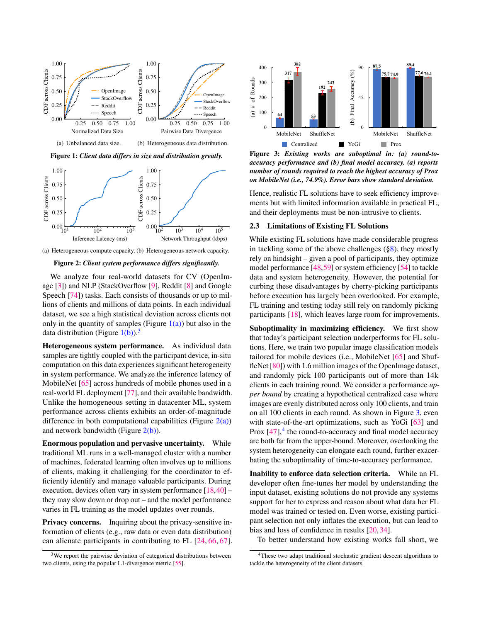<span id="page-2-1"></span>

<span id="page-2-4"></span>(a) Heterogeneous compute capacity. (b) Heterogeneous network capacity.

<span id="page-2-5"></span>Figure 2: *Client system performance differs significantly.*

We analyze four real-world datasets for CV (OpenImage [\[3\]](#page-13-3)) and NLP (StackOverflow [\[9\]](#page-13-4), Reddit [\[8\]](#page-13-5) and Google Speech [\[74\]](#page-16-7)) tasks. Each consists of thousands or up to millions of clients and millions of data points. In each individual dataset, we see a high statistical deviation across clients not only in the quantity of samples (Figure  $1(a)$ ) but also in the data distribution (Figure  $1(b)$ ).<sup>[3](#page-2-3)</sup>

Heterogeneous system performance. As individual data samples are tightly coupled with the participant device, in-situ computation on this data experiences significant heterogeneity in system performance. We analyze the inference latency of MobileNet [\[65\]](#page-16-8) across hundreds of mobile phones used in a real-world FL deployment [\[77\]](#page-16-0), and their available bandwidth. Unlike the homogeneous setting in datacenter ML, system performance across clients exhibits an order-of-magnitude difference in both computational capabilities (Figure  $2(a)$ ) and network bandwidth (Figure  $2(b)$ ).

Enormous population and pervasive uncertainty. While traditional ML runs in a well-managed cluster with a number of machines, federated learning often involves up to millions of clients, making it challenging for the coordinator to efficiently identify and manage valuable participants. During execution, devices often vary in system performance [\[18,](#page-14-0)[40\]](#page-15-0) – they may slow down or drop out – and the model performance varies in FL training as the model updates over rounds.

Privacy concerns. Inquiring about the privacy-sensitive information of clients (e.g., raw data or even data distribution) can alienate participants in contributing to FL [\[24,](#page-14-1) [66,](#page-16-9) [67\]](#page-16-10).

<span id="page-2-6"></span>

<span id="page-2-2"></span>Figure 3: *Existing works are suboptimal in: (a) round-toaccuracy performance and (b) final model accuracy. (a) reports number of rounds required to reach the highest accuracy of Prox on MobileNet (i.e., 74.9%). Error bars show standard deviation.*

Hence, realistic FL solutions have to seek efficiency improvements but with limited information available in practical FL, and their deployments must be non-intrusive to clients.

#### <span id="page-2-0"></span>2.3 Limitations of Existing FL Solutions

While existing FL solutions have made considerable progress in tackling some of the above challenges ([§8\)](#page-12-0), they mostly rely on hindsight – given a pool of participants, they optimize model performance [\[48,](#page-15-11)[59\]](#page-15-5) or system efficiency [\[54\]](#page-15-6) to tackle data and system heterogeneity. However, the potential for curbing these disadvantages by cherry-picking participants before execution has largely been overlooked. For example, FL training and testing today still rely on randomly picking participants [\[18\]](#page-14-0), which leaves large room for improvements.

Suboptimality in maximizing efficiency. We first show that today's participant selection underperforms for FL solutions. Here, we train two popular image classification models tailored for mobile devices (i.e., MobileNet [\[65\]](#page-16-8) and Shuf-fleNet [\[80\]](#page-16-11)) with 1.6 million images of the OpenImage dataset, and randomly pick 100 participants out of more than 14k clients in each training round. We consider a performance *upper bound* by creating a hypothetical centralized case where images are evenly distributed across only 100 clients, and train on all 100 clients in each round. As shown in Figure [3,](#page-2-6) even with state-of-the-art optimizations, such as YoGi [\[63\]](#page-15-7) and Prox  $[47]$ ,<sup>[4](#page-2-7)</sup> the round-to-accuracy and final model accuracy are both far from the upper-bound. Moreover, overlooking the system heterogeneity can elongate each round, further exacerbating the suboptimality of time-to-accuracy performance.

model was trained or tested on. Even worse, existing partici-<br>next as lasting net subject the consuming but are lead to Inability to enforce data selection criteria. While an FL developer often fine-tunes her model by understanding the input dataset, existing solutions do not provide any systems support for her to express and reason about what data her FL pant selection not only inflates the execution, but can lead to bias and loss of confidence in results [\[20,](#page-14-5) [34\]](#page-14-6).

To better understand how existing works fall short, we

<span id="page-2-3"></span><sup>&</sup>lt;sup>3</sup>We report the pairwise deviation of categorical distributions between two clients, using the popular L1-divergence metric [\[55\]](#page-15-10).

<span id="page-2-7"></span><sup>4</sup>These two adapt traditional stochastic gradient descent algorithms to tackle the heterogeneity of the client datasets.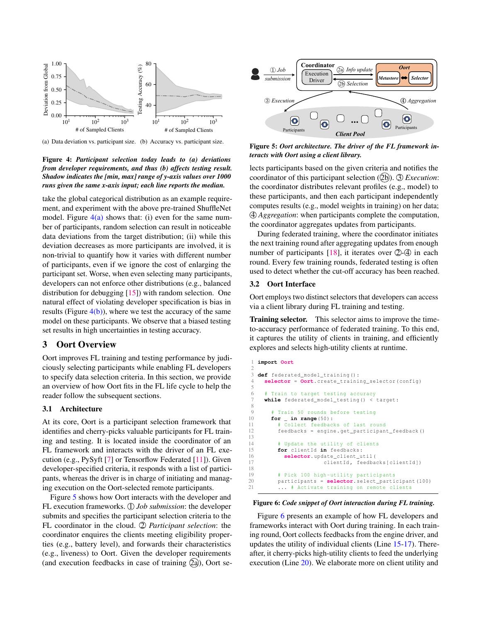<span id="page-3-1"></span>

<span id="page-3-2"></span>(a) Data deviation vs. participant size. (b) Accuracy vs. participant size.



take the global categorical distribution as an example requirement, and experiment with the above pre-trained ShuffleNet model. Figure  $4(a)$  shows that: (i) even for the same number of participants, random selection can result in noticeable data deviations from the target distribution; (ii) while this deviation decreases as more participants are involved, it is non-trivial to quantify how it varies with different number of participants, even if we ignore the cost of enlarging the participant set. Worse, when even selecting many participants, developers can not enforce other distributions (e.g., balanced distribution for debugging [\[15\]](#page-14-10)) with random selection. One natural effect of violating developer specification is bias in results (Figure  $4(b)$ ), where we test the accuracy of the same model on these participants. We observe that a biased testing set results in high uncertainties in testing accuracy.

### <span id="page-3-0"></span>3 Oort Overview

Oort improves FL training and testing performance by judiciously selecting participants while enabling FL developers to specify data selection criteria. In this section, we provide an overview of how Oort fits in the FL life cycle to help the reader follow the subsequent sections.

### 3.1 Architecture

At its core, Oort is a participant selection framework that identifies and cherry-picks valuable participants for FL training and testing. It is located inside the coordinator of an FL framework and interacts with the driver of an FL execution (e.g., PySyft [\[7\]](#page-13-6) or Tensorflow Federated [\[11\]](#page-13-7)). Given developer-specified criteria, it responds with a list of participants, whereas the driver is in charge of initiating and managing execution on the Oort-selected remote participants.

Figure [5](#page-3-3) shows how Oort interacts with the developer and FL execution frameworks. ① *Job submission*: the developer submits and specifies the participant selection criteria to the FL coordinator in the cloud. 2 *Participant selection*: the coordinator enquires the clients meeting eligibility properties (e.g., battery level), and forwards their characteristics (e.g., liveness) to Oort. Given the developer requirements (and execution feedbacks in case of training  $(2a)$ ), Oort se-

<span id="page-3-3"></span>

Figure 5: *Oort architecture. The driver of the FL framework interacts with Oort using a client library.*

lects participants based on the given criteria and notifies the coordinator of this participant selection (2b). 3 *Execution*: the coordinator distributes relevant profiles (e.g., model) to these participants, and then each participant independently computes results (e.g., model weights in training) on her data; 4 *Aggregation*: when participants complete the computation, the coordinator aggregates updates from participants.

During federated training, where the coordinator initiates the next training round after aggregating updates from enough number of participants  $[18]$ , it iterates over  $(2)$ - $(4)$  in each round. Every few training rounds, federated testing is often used to detect whether the cut-off accuracy has been reached.

### 3.2 Oort Interface

2

5

8

<span id="page-3-6"></span><span id="page-3-5"></span>13

Oort employs two distinct selectors that developers can access via a client library during FL training and testing.

Training selector. This selector aims to improve the timeto-accuracy performance of federated training. To this end, it captures the utility of clients in training, and efficiently explores and selects high-utility clients at runtime.

```
1 import Oort
 3 def federated_model_training () :
      4 selector = Oort. create_training_selector ( config )
         Train to target testing accuracy
      while federated_model_testing () < target:
9 # Train 50 rounds before testing<br>10 for _ in range(50):
10 for _ in range(50) :
11 # Collect feedbacks of last round
12 feedbacks = engine . get_participant_feedback ()
14 # Update the utility of clients<br>15 for clientId in feedbacks:
           for clientId in feedbacks:
16 selector.update_client_util(<br>17 clientId, feedba
                             clientId, feedbacks [ clientId ] )
18
19 # Pick 100 high-utility participants<br>20 participants = selector.select parti
20 participants = selector. select_participant (100)<br>21 ... # Activate training on remote clients
            ... # Activate training on remote clients
```
#### <span id="page-3-7"></span>Figure 6: *Code snippet of Oort interaction during FL training.*

Figure [6](#page-3-4) presents an example of how FL developers and frameworks interact with Oort during training. In each training round, Oort collects feedbacks from the engine driver, and updates the utility of individual clients (Line [15-](#page-3-5)[17\)](#page-3-6). Thereafter, it cherry-picks high-utility clients to feed the underlying execution (Line [20\)](#page-3-7). We elaborate more on client utility and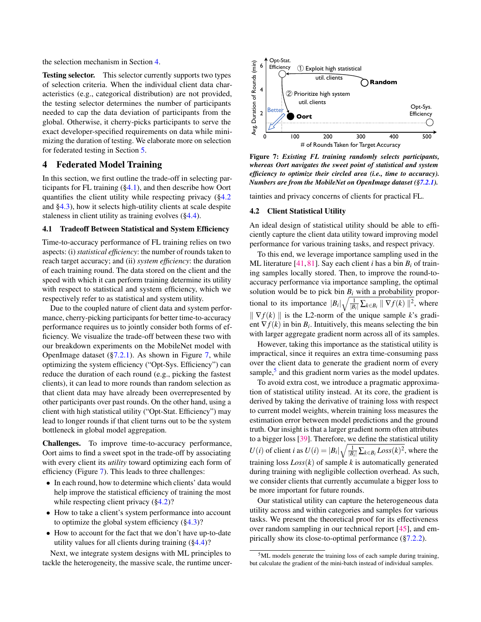the selection mechanism in Section [4.](#page-4-0)

Testing selector. This selector currently supports two types of selection criteria. When the individual client data characteristics (e.g., categorical distribution) are not provided, the testing selector determines the number of participants needed to cap the data deviation of participants from the global. Otherwise, it cherry-picks participants to serve the exact developer-specified requirements on data while minimizing the duration of testing. We elaborate more on selection for federated testing in Section [5.](#page-6-0)

### <span id="page-4-0"></span>4 Federated Model Training

In this section, we first outline the trade-off in selecting participants for FL training  $(\S 4.1)$ , and then describe how Oort quantifies the client utility while respecting privacy ([§4.2](#page-4-2) and [§4.3\)](#page-5-0), how it selects high-utility clients at scale despite staleness in client utility as training evolves ([§4.4\)](#page-5-1).

#### <span id="page-4-1"></span>4.1 Tradeoff Between Statistical and System Efficiency

Time-to-accuracy performance of FL training relies on two aspects: (i) *statistical efficiency*: the number of rounds taken to reach target accuracy; and (ii) *system efficiency*: the duration of each training round. The data stored on the client and the speed with which it can perform training determine its utility with respect to statistical and system efficiency, which we respectively refer to as statistical and system utility.

Due to the coupled nature of client data and system performance, cherry-picking participants for better time-to-accuracy performance requires us to jointly consider both forms of efficiency. We visualize the trade-off between these two with our breakdown experiments on the MobileNet model with OpenImage dataset  $(\frac{5}{2.2.1})$ . As shown in Figure [7,](#page-4-3) while optimizing the system efficiency ("Opt-Sys. Efficiency") can reduce the duration of each round (e.g., picking the fastest clients), it can lead to more rounds than random selection as that client data may have already been overrepresented by other participants over past rounds. On the other hand, using a client with high statistical utility ("Opt-Stat. Efficiency") may lead to longer rounds if that client turns out to be the system bottleneck in global model aggregation.

Challenges. To improve time-to-accuracy performance, Oort aims to find a sweet spot in the trade-off by associating with every client its *utility* toward optimizing each form of efficiency (Figure [7\)](#page-4-3). This leads to three challenges:

- In each round, how to determine which clients' data would help improve the statistical efficiency of training the most while respecting client privacy ([§4.2\)](#page-4-2)?
- How to take a client's system performance into account to optimize the global system efficiency  $(\S4.3)$ ?
- How to account for the fact that we don't have up-to-date utility values for all clients during training  $(\S 4.4)$ ?

Next, we integrate system designs with ML principles to tackle the heterogeneity, the massive scale, the runtime uncer-

<span id="page-4-3"></span>

Figure 7: *Existing FL training randomly selects participants, whereas Oort navigates the sweet point of statistical and system efficiency to optimize their circled area (i.e., time to accuracy). Numbers are from the MobileNet on OpenImage dataset ([§7.2.1\)](#page-9-0).*

<span id="page-4-2"></span>tainties and privacy concerns of clients for practical FL.

#### 4.2 Client Statistical Utility

An ideal design of statistical utility should be able to efficiently capture the client data utility toward improving model performance for various training tasks, and respect privacy.

To this end, we leverage importance sampling used in the ML literature [\[41,](#page-15-12) [81\]](#page-16-12). Say each client *i* has a bin  $B_i$  of training samples locally stored. Then, to improve the round-toaccuracy performance via importance sampling, the optimal solution would be to pick bin  $B_i$  with a probability proportional to its importance  $|B_i| \sqrt{\frac{1}{|B_i|} \sum_{k \in B_i} ||\nabla f(k)||^2}$ , where  $\|\nabla f(k)\|$  is the L2-norm of the unique sample *k*'s gradient  $\nabla f(k)$  in bin  $B_i$ . Intuitively, this means selecting the bin with larger aggregate gradient norm across all of its samples.

However, taking this importance as the statistical utility is impractical, since it requires an extra time-consuming pass over the client data to generate the gradient norm of every sample,<sup>[5](#page-4-4)</sup> and this gradient norm varies as the model updates.

To avoid extra cost, we introduce a pragmatic approximation of statistical utility instead. At its core, the gradient is derived by taking the derivative of training loss with respect to current model weights, wherein training loss measures the estimation error between model predictions and the ground truth. Our insight is that a larger gradient norm often attributes to a bigger loss [\[39\]](#page-14-12). Therefore, we define the statistical utility *U*(*i*) of client *i* as  $U(i) = |B_i| \sqrt{\frac{1}{|B_i|} \sum_{k \in B_i} Loss(k)^2}$ , where the training  $\cos Loss(k)$  of sample *k* is automatically generated during training with negligible collection overhead. As such, we consider clients that currently accumulate a bigger loss to be more important for future rounds.

Our statistical utility can capture the heterogeneous data utility across and within categories and samples for various tasks. We present the theoretical proof for its effectiveness over random sampling in our technical report [\[45\]](#page-15-13), and empirically show its close-to-optimal performance ([§7.2.2\)](#page-10-0).

<span id="page-4-4"></span> $5ML$  models generate the training loss of each sample during training, but calculate the gradient of the mini-batch instead of individual samples.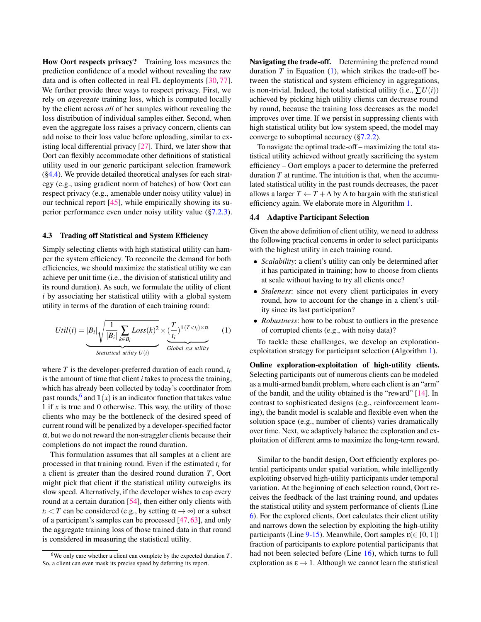How Oort respects privacy? Training loss measures the prediction confidence of a model without revealing the raw data and is often collected in real FL deployments [\[30,](#page-14-2) [77\]](#page-16-0). We further provide three ways to respect privacy. First, we rely on *aggregate* training loss, which is computed locally by the client across *all* of her samples without revealing the loss distribution of individual samples either. Second, when even the aggregate loss raises a privacy concern, clients can add noise to their loss value before uploading, similar to existing local differential privacy [\[27\]](#page-14-9). Third, we later show that Oort can flexibly accommodate other definitions of statistical utility used in our generic participant selection framework ([§4.4\)](#page-5-1). We provide detailed theoretical analyses for each strategy (e.g., using gradient norm of batches) of how Oort can respect privacy (e.g., amenable under noisy utility value) in our technical report [\[45\]](#page-15-13), while empirically showing its superior performance even under noisy utility value ([§7.2.3\)](#page-10-1).

#### <span id="page-5-0"></span>4.3 Trading off Statistical and System Efficiency

Simply selecting clients with high statistical utility can hamper the system efficiency. To reconcile the demand for both efficiencies, we should maximize the statistical utility we can achieve per unit time (i.e., the division of statistical utility and its round duration). As such, we formulate the utility of client *i* by associating her statistical utility with a global system utility in terms of the duration of each training round:

$$
Util(i) = |B_i| \sqrt{\frac{1}{|B_i|} \sum_{k \in B_i} Loss(k)^2} \times (\frac{T}{t_i})^{1(T < t_i) \times \alpha} \tag{1}
$$
\n
$$
Statistical utility \ U(i)
$$

where *T* is the developer-preferred duration of each round, *t<sup>i</sup>* is the amount of time that client *i* takes to process the training, which has already been collected by today's coordinator from past rounds, <sup>[6](#page-5-2)</sup> and  $\mathbb{1}(x)$  is an indicator function that takes value 1 if *x* is true and 0 otherwise. This way, the utility of those clients who may be the bottleneck of the desired speed of current round will be penalized by a developer-specified factor  $\alpha$ , but we do not reward the non-straggler clients because their completions do not impact the round duration.

This formulation assumes that all samples at a client are processed in that training round. Even if the estimated *t<sup>i</sup>* for a client is greater than the desired round duration *T*, Oort might pick that client if the statistical utility outweighs its slow speed. Alternatively, if the developer wishes to cap every round at a certain duration [\[54\]](#page-15-6), then either only clients with  $t_i$  < *T* can be considered (e.g., by setting  $\alpha \rightarrow \infty$ ) or a subset of a participant's samples can be processed [\[47,](#page-15-4) [63\]](#page-15-7), and only the aggregate training loss of those trained data in that round is considered in measuring the statistical utility.

Navigating the trade-off. Determining the preferred round duration  $T$  in Equation  $(1)$ , which strikes the trade-off between the statistical and system efficiency in aggregations, is non-trivial. Indeed, the total statistical utility (i.e.,  $\sum U(i)$ ) achieved by picking high utility clients can decrease round by round, because the training loss decreases as the model improves over time. If we persist in suppressing clients with high statistical utility but low system speed, the model may converge to suboptimal accuracy ([§7.2.2\)](#page-10-0).

To navigate the optimal trade-off – maximizing the total statistical utility achieved without greatly sacrificing the system efficiency – Oort employs a pacer to determine the preferred duration *T* at runtime. The intuition is that, when the accumulated statistical utility in the past rounds decreases, the pacer allows a larger  $T \leftarrow T + \Delta$  by  $\Delta$  to bargain with the statistical efficiency again. We elaborate more in Algorithm [1.](#page-6-1)

#### <span id="page-5-1"></span>4.4 Adaptive Participant Selection

Given the above definition of client utility, we need to address the following practical concerns in order to select participants with the highest utility in each training round.

- *Scalability*: a client's utility can only be determined after it has participated in training; how to choose from clients at scale without having to try all clients once?
- *Staleness*: since not every client participates in every round, how to account for the change in a client's utility since its last participation?
- <span id="page-5-3"></span>• *Robustness*: how to be robust to outliers in the presence of corrupted clients (e.g., with noisy data)?

To tackle these challenges, we develop an explorationexploitation strategy for participant selection (Algorithm [1\)](#page-6-1).

Online exploration-exploitation of high-utility clients. Selecting participants out of numerous clients can be modeled as a multi-armed bandit problem, where each client is an "arm" of the bandit, and the utility obtained is the "reward" [\[14\]](#page-13-8). In contrast to sophisticated designs (e.g., reinforcement learning), the bandit model is scalable and flexible even when the solution space (e.g., number of clients) varies dramatically over time. Next, we adaptively balance the exploration and exploitation of different arms to maximize the long-term reward.

Similar to the bandit design, Oort efficiently explores potential participants under spatial variation, while intelligently exploiting observed high-utility participants under temporal variation. At the beginning of each selection round, Oort receives the feedback of the last training round, and updates the statistical utility and system performance of clients (Line [6\)](#page-6-2). For the explored clients, Oort calculates their client utility and narrows down the selection by exploiting the high-utility participants (Line [9](#page-6-3)[-15\)](#page-6-4). Meanwhile, Oort samples  $\varepsilon \in [0, 1]$ ) fraction of participants to explore potential participants that had not been selected before (Line [16\)](#page-6-5), which turns to full exploration as  $\epsilon \rightarrow 1$ . Although we cannot learn the statistical

<span id="page-5-2"></span><sup>&</sup>lt;sup>6</sup>We only care whether a client can complete by the expected duration  $T$ . So, a client can even mask its precise speed by deferring its report.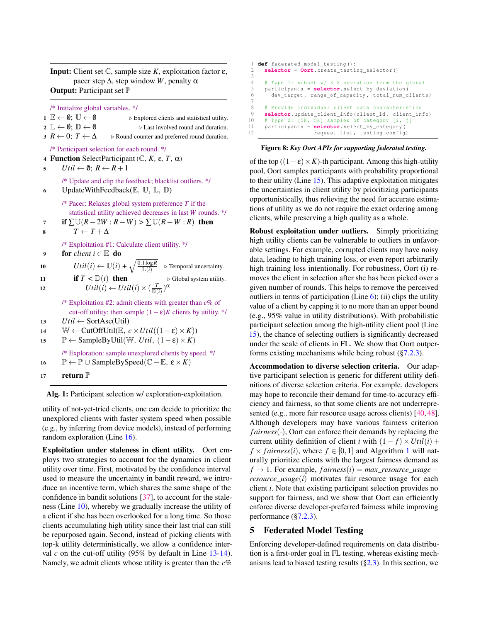**Input:** Client set  $\mathbb{C}$ , sample size *K*, exploitation factor ε, pacer step  $Δ$ , step window *W*, penalty  $α$ **Output:** Participant set  $\mathbb P$ 

/\* Initialize global variables. \*/

| $1 \mathbb{E} \leftarrow \emptyset; \mathbb{U} \leftarrow \emptyset$    | $\triangleright$ Explored clients and statistical utility. |
|-------------------------------------------------------------------------|------------------------------------------------------------|
| $2 \mathbb{L} \leftarrow \emptyset$ ; $\mathbb{D} \leftarrow \emptyset$ | $\triangleright$ Last involved round and duration.         |

3  $R \leftarrow 0$ ;  $T \leftarrow \Delta$   $\triangleright$  Round counter and preferred round duration.

/\* Participant selection for each round. \*/

4 **Function** SelectParticipant ( $\mathbb{C}$ , K,  $\varepsilon$ , T,  $\alpha$ )

5  $Util \leftarrow \emptyset; R \leftarrow R+1$ 

/\* Update and clip the feedback; blacklist outliers. \*/ 6 UpdateWithFeedback $(E, U, L, D)$ 

<span id="page-6-2"></span>/\* Pacer: Relaxes global system preference *T* if the statistical utility achieved decreases in last *W* rounds. \*/

- 7 if  $\sum U(R-2W:R-W) > \sum U(R-W:R)$  then
- 8  $T \leftarrow T + \Delta$

<span id="page-6-6"></span><span id="page-6-3"></span>/\* Exploitation #1: Calculate client utility. \*/

9 for *client*  $i \in \mathbb{E}$  do

| 10 | $Util(i) \leftarrow \mathbb{U}(i) + \sqrt{\frac{0.1 \log R}{\mathbb{L}(i)}}$ $\triangleright$ Temporal uncertainty. |                                         |
|----|---------------------------------------------------------------------------------------------------------------------|-----------------------------------------|
| 11 | if $T < \mathbb{D}(i)$ then                                                                                         | $\triangleright$ Global system utility. |

12  $Utility \leftarrow Utility(i) \times (\frac{T}{\mathbb{D}(i)})^{\alpha}$ 

<span id="page-6-7"></span>/\* Exploitation #2: admit clients with greater than *c*% of cut-off utility; then sample  $(1 - \varepsilon)K$  clients by utility. \*/

13  $Util \leftarrow SortAsc(Util)$ 

- <span id="page-6-8"></span>14 W ← CutOffUtil(E,  $c \times Util((1-\varepsilon) \times K)$ )
- <span id="page-6-4"></span><sup>15</sup> P ← SampleByUtil(W, *Util*, (1−ε)×*K*)

<span id="page-6-5"></span>/\* Exploration: sample unexplored clients by speed. \*/ 16 **P** ← **P** ∪ SampleBySpeed( $\mathbb{C}$  – **E**,  $\epsilon \times K$ )

17 return  $\mathbb P$ 

<span id="page-6-1"></span>Alg. 1: Participant selection w/ exploration-exploitation.

utility of not-yet-tried clients, one can decide to prioritize the unexplored clients with faster system speed when possible (e.g., by inferring from device models), instead of performing random exploration (Line [16\)](#page-6-5).

Exploitation under staleness in client utility. Oort employs two strategies to account for the dynamics in client utility over time. First, motivated by the confidence interval used to measure the uncertainty in bandit reward, we introduce an incentive term, which shares the same shape of the confidence in bandit solutions [\[37\]](#page-14-13), to account for the staleness (Line [10\)](#page-6-6), whereby we gradually increase the utility of a client if she has been overlooked for a long time. So those clients accumulating high utility since their last trial can still be repurposed again. Second, instead of picking clients with top-k utility deterministically, we allow a confidence interval *c* on the cut-off utility (95% by default in Line [13](#page-6-7)[-14\)](#page-6-8). Namely, we admit clients whose utility is greater than the *c*%

```
1 def federated_model_testing () :
 2 selector = Oort. create_testing_selector ()
 3
 4 # Type 1: subset w / \langle X \rangle X deviation from the global 5 participants = selector. select by deviation (
 5 participants = selector. select_by_deviation (
         6 dev_target , range_of_capacity , total_num_clients )
 7
 8 # Provide individual client data characteristics
9 selector. update_client_info (client_id, client_info)<br>10 # Type 2: [5k, 5k] samples of category [i, i]
10 # Type 2: [5k, 5k] samples of category [i, j]<br>11 participants = selector.select by category (
      11 participants = selector. select_by_category (
                           request_list, testing_config)
```
#### Figure 8: *Key Oort APIs for supporting federated testing.*

of the top  $((1-\varepsilon) \times K)$ -th participant. Among this high-utility pool, Oort samples participants with probability proportional to their utility (Line [15\)](#page-6-4). This adaptive exploitation mitigates the uncertainties in client utility by prioritizing participants opportunistically, thus relieving the need for accurate estimations of utility as we do not require the exact ordering among clients, while preserving a high quality as a whole.

Robust exploitation under outliers. Simply prioritizing high utility clients can be vulnerable to outliers in unfavorable settings. For example, corrupted clients may have noisy data, leading to high training loss, or even report arbitrarily high training loss intentionally. For robustness, Oort (i) removes the client in selection after she has been picked over a given number of rounds. This helps to remove the perceived outliers in terms of participation (Line  $6$ ); (ii) clips the utility value of a client by capping it to no more than an upper bound (e.g., 95% value in utility distributions). With probabilistic participant selection among the high-utility client pool (Line [15\)](#page-6-4), the chance of selecting outliers is significantly decreased under the scale of clients in FL. We show that Oort outperforms existing mechanisms while being robust  $(\S7.2.3)$ .

Accommodation to diverse selection criteria. Our adaptive participant selection is generic for different utility definitions of diverse selection criteria. For example, developers may hope to reconcile their demand for time-to-accuracy efficiency and fairness, so that some clients are not underrepre-sented (e.g., more fair resource usage across clients) [\[40,](#page-15-0) [48\]](#page-15-11). Although developers may have various fairness criterion  $fairness(\cdot)$ , Oort can enforce their demands by replacing the current utility definition of client *i* with  $(1 - f) \times U$ *til* $(i)$  + *f*  $\times$  *fairness*(*i*), where *f*  $\in$  [0,[1](#page-6-1)] and Algorithm 1 will naturally prioritize clients with the largest fairness demand as  $f \rightarrow 1$ . For example,  $f \text{airness}(i) = \text{max\_resource\_usage}$ *resource usage* $(i)$  motivates fair resource usage for each client *i*. Note that existing participant selection provides no support for fairness, and we show that Oort can efficiently enforce diverse developer-preferred fairness while improving performance ([§7.2.3\)](#page-10-1).

### <span id="page-6-0"></span>5 Federated Model Testing

Enforcing developer-defined requirements on data distribution is a first-order goal in FL testing, whereas existing mechanisms lead to biased testing results  $(\S2.3)$ . In this section, we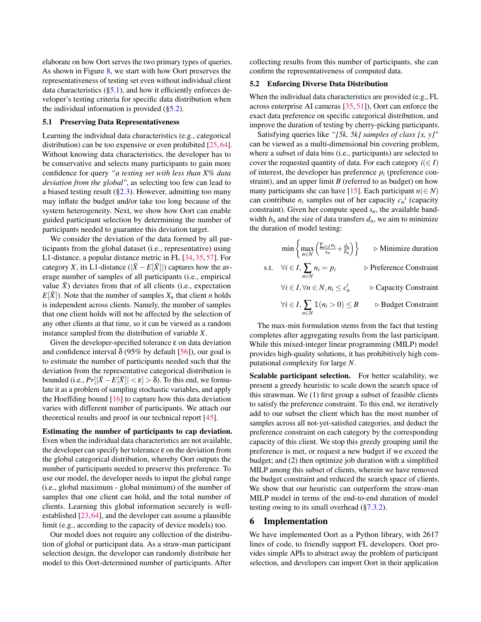elaborate on how Oort serves the two primary types of queries. As shown in Figure [8,](#page-6-9) we start with how Oort preserves the representativeness of testing set even without individual client data characteristics  $(\S 5.1)$ , and how it efficiently enforces developer's testing criteria for specific data distribution when the individual information is provided ([§5.2\)](#page-7-2).

#### <span id="page-7-1"></span>5.1 Preserving Data Representativeness

Learning the individual data characteristics (e.g., categorical distribution) can be too expensive or even prohibited [\[25,](#page-14-14) [64\]](#page-16-13). Without knowing data characteristics, the developer has to be conservative and selects many participants to gain more confidence for query *"a testing set with less than X% data deviation from the global"*, as selecting too few can lead to a biased testing result  $(\S2.3)$ . However, admitting too many may inflate the budget and/or take too long because of the system heterogeneity. Next, we show how Oort can enable guided participant selection by determining the number of participants needed to guarantee this deviation target.

We consider the deviation of the data formed by all participants from the global dataset (i.e., representative) using L1-distance, a popular distance metric in FL [\[34,](#page-14-6) [35,](#page-14-8) [57\]](#page-15-3). For category *X*, its L1-distance ( $|\bar{X} - E[\bar{X}]|$ ) captures how the average number of samples of all participants (i.e., empirical value  $\bar{X}$ ) deviates from that of all clients (i.e., expectation  $E[X]$ ). Note that the number of samples  $X_n$  that client *n* holds is independent across clients. Namely, the number of samples that one client holds will not be affected by the selection of any other clients at that time, so it can be viewed as a random instance sampled from the distribution of variable *X*.

Given the developer-specified tolerance  $\varepsilon$  on data deviation and confidence interval  $\delta$  (95% by default [\[56\]](#page-15-14)), our goal is to estimate the number of participants needed such that the deviation from the representative categorical distribution is bounded (i.e.,  $Pr[|\bar{X} - E[\bar{X}]| < \varepsilon] > \delta$ ). To this end, we formulate it as a problem of sampling stochastic variables, and apply the Hoeffding bound  $[16]$  to capture how this data deviation varies with different number of participants. We attach our theoretical results and proof in our technical report [\[45\]](#page-15-13).

Estimating the number of participants to cap deviation. Even when the individual data characteristics are not available, the developer can specify her tolerance  $\varepsilon$  on the deviation from the global categorical distribution, whereby Oort outputs the number of participants needed to preserve this preference. To use our model, the developer needs to input the global range (i.e., global maximum - global minimum) of the number of samples that one client can hold, and the total number of clients. Learning this global information securely is wellestablished [\[23,](#page-14-16)[64\]](#page-16-13), and the developer can assume a plausible limit (e.g., according to the capacity of device models) too.

Our model does not require any collection of the distribution of global or participant data. As a straw-man participant selection design, the developer can randomly distribute her model to this Oort-determined number of participants. After

collecting results from this number of participants, she can confirm the representativeness of computed data.

#### <span id="page-7-2"></span>5.2 Enforcing Diverse Data Distribution

When the individual data characteristics are provided (e.g., FL across enterprise AI cameras [\[35,](#page-14-8) [51\]](#page-15-2)), Oort can enforce the exact data preference on specific categorical distribution, and improve the duration of testing by cherry-picking participants.

Satisfying queries like *"[5k, 5k] samples of class [x, y]"* can be viewed as a multi-dimensional bin covering problem, where a subset of data bins (i.e., participants) are selected to cover the requested quantity of data. For each category  $i(\in I)$ of interest, the developer has preference  $p_i$  (preference constraint), and an upper limit *B* (referred to as budget) on how many participants she can have [\[15\]](#page-14-10). Each participant  $n \in N$ ) can contribute  $n_i$  samples out of her capacity  $c_n$ <sup>*i*</sup> (capacity constraint). Given her compute speed *sn*, the available bandwidth  $b_n$  and the size of data transfers  $d_n$ , we aim to minimize the duration of model testing:

$$
\min \left\{ \max_{n \in N} \left( \frac{\sum_{i \in I} n_i}{s_n} + \frac{d_n}{b_n} \right) \right\} \qquad \triangleright \text{Minimize duration}
$$
\n
$$
\text{s.t.} \quad \forall i \in I, \sum_{n \in N} n_i = p_i \qquad \qquad \triangleright \text{Reference Constant}
$$
\n
$$
\forall i \in I, \forall n \in N, n_i \le c_n^i \qquad \qquad \triangleright \text{Capacity Constant}
$$
\n
$$
\forall i \in I, \sum_{n \in N} \mathbb{1}(n_i > 0) \le B \qquad \triangleright \text{Budget Constant}
$$

The max-min formulation stems from the fact that testing completes after aggregating results from the last participant. While this mixed-integer linear programming (MILP) model provides high-quality solutions, it has prohibitively high computational complexity for large *N*.

Scalable participant selection. For better scalability, we present a greedy heuristic to scale down the search space of this strawman. We (1) first group a subset of feasible clients to satisfy the preference constraint. To this end, we iteratively add to our subset the client which has the most number of samples across all not-yet-satisfied categories, and deduct the preference constraint on each category by the corresponding capacity of this client. We stop this greedy grouping until the preference is met, or request a new budget if we exceed the budget; and (2) then optimize job duration with a simplified MILP among this subset of clients, wherein we have removed the budget constraint and reduced the search space of clients. We show that our heuristic can outperform the straw-man MILP model in terms of the end-to-end duration of model testing owing to its small overhead ([§7.3.2\)](#page-12-1).

### <span id="page-7-0"></span>6 Implementation

We have implemented Oort as a Python library, with 2617 lines of code, to friendly support FL developers. Oort provides simple APIs to abstract away the problem of participant selection, and developers can import Oort in their application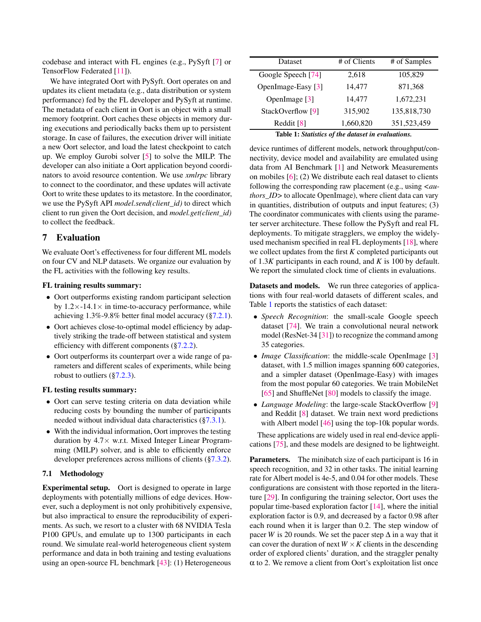codebase and interact with FL engines (e.g., PySyft [\[7\]](#page-13-6) or TensorFlow Federated [\[11\]](#page-13-7)).

We have integrated Oort with PySyft. Oort operates on and updates its client metadata (e.g., data distribution or system performance) fed by the FL developer and PySyft at runtime. The metadata of each client in Oort is an object with a small memory footprint. Oort caches these objects in memory during executions and periodically backs them up to persistent storage. In case of failures, the execution driver will initiate a new Oort selector, and load the latest checkpoint to catch up. We employ Gurobi solver [\[5\]](#page-13-9) to solve the MILP. The developer can also initiate a Oort application beyond coordinators to avoid resource contention. We use *xmlrpc* library to connect to the coordinator, and these updates will activate Oort to write these updates to its metastore. In the coordinator, we use the PySyft API *model.send(client\_id)* to direct which client to run given the Oort decision, and *model.get(client\_id)* to collect the feedback.

## <span id="page-8-0"></span>7 Evaluation

We evaluate Oort's effectiveness for four different ML models on four CV and NLP datasets. We organize our evaluation by the FL activities with the following key results.

#### FL training results summary:

- Oort outperforms existing random participant selection by  $1.2 \times -14.1 \times$  in time-to-accuracy performance, while achieving 1.3%-9.8% better final model accuracy ([§7.2.1\)](#page-9-0).
- Oort achieves close-to-optimal model efficiency by adaptively striking the trade-off between statistical and system efficiency with different components ([§7.2.2\)](#page-10-0).
- Oort outperforms its counterpart over a wide range of parameters and different scales of experiments, while being robust to outliers ([§7.2.3\)](#page-10-1).

### FL testing results summary:

- Oort can serve testing criteria on data deviation while reducing costs by bounding the number of participants needed without individual data characteristics ([§7.3.1\)](#page-12-2).
- With the individual information, Oort improves the testing duration by  $4.7\times$  w.r.t. Mixed Integer Linear Programming (MILP) solver, and is able to efficiently enforce developer preferences across millions of clients ([§7.3.2\)](#page-12-1).

### 7.1 Methodology

Experimental setup. Oort is designed to operate in large deployments with potentially millions of edge devices. However, such a deployment is not only prohibitively expensive, but also impractical to ensure the reproducibility of experiments. As such, we resort to a cluster with 68 NVIDIA Tesla P100 GPUs, and emulate up to 1300 participants in each round. We simulate real-world heterogeneous client system performance and data in both training and testing evaluations using an open-source FL benchmark [\[43\]](#page-15-15): (1) Heterogeneous

<span id="page-8-1"></span>

| Dataset                      | # of Clients | # of Samples |  |  |  |
|------------------------------|--------------|--------------|--|--|--|
| Google Speech [74]           | 2,618        | 105,829      |  |  |  |
| OpenImage-Easy [3]           | 14,477       | 871,368      |  |  |  |
| OpenImage [3]                | 14,477       | 1,672,231    |  |  |  |
| StackOverflow <sup>[9]</sup> | 315,902      | 135,818,730  |  |  |  |
| Reddit [8]                   | 1,660,820    | 351,523,459  |  |  |  |
|                              |              |              |  |  |  |

Table 1: *Statistics of the dataset in evaluations.*

device runtimes of different models, network throughput/connectivity, device model and availability are emulated using data from AI Benchmark [\[1\]](#page-13-10) and Network Measurements on mobiles [\[6\]](#page-13-11); (2) We distribute each real dataset to clients following the corresponding raw placement (e.g., using *<authors\_ID>* to allocate OpenImage), where client data can vary in quantities, distribution of outputs and input features; (3) The coordinator communicates with clients using the parameter server architecture. These follow the PySyft and real FL deployments. To mitigate stragglers, we employ the widelyused mechanism specified in real FL deployments [\[18\]](#page-14-0), where we collect updates from the first *K* completed participants out of 1.3*K* participants in each round, and *K* is 100 by default. We report the simulated clock time of clients in evaluations.

Datasets and models. We run three categories of applications with four real-world datasets of different scales, and Table [1](#page-8-1) reports the statistics of each dataset:

- *Speech Recognition*: the small-scale Google speech dataset [\[74\]](#page-16-7). We train a convolutional neural network model (ResNet-34 [\[31\]](#page-14-17)) to recognize the command among 35 categories.
- *Image Classification*: the middle-scale OpenImage [\[3\]](#page-13-3) dataset, with 1.5 million images spanning 600 categories, and a simpler dataset (OpenImage-Easy) with images from the most popular 60 categories. We train MobileNet [\[65\]](#page-16-8) and ShuffleNet [\[80\]](#page-16-11) models to classify the image.
- *Language Modeling*: the large-scale StackOverflow [\[9\]](#page-13-4) and Reddit [\[8\]](#page-13-5) dataset. We train next word predictions with Albert model [\[46\]](#page-15-16) using the top-10k popular words.

These applications are widely used in real end-device applications [\[75\]](#page-16-2), and these models are designed to be lightweight.

**Parameters.** The minibatch size of each participant is 16 in speech recognition, and 32 in other tasks. The initial learning rate for Albert model is 4e-5, and 0.04 for other models. These configurations are consistent with those reported in the literature [\[29\]](#page-14-18). In configuring the training selector, Oort uses the popular time-based exploration factor [\[14\]](#page-13-8), where the initial exploration factor is 0.9, and decreased by a factor 0.98 after each round when it is larger than 0.2. The step window of pacer *W* is 20 rounds. We set the pacer step  $\Delta$  in a way that it can cover the duration of next  $W \times K$  clients in the descending order of explored clients' duration, and the straggler penalty  $\alpha$  to 2. We remove a client from Oort's exploitation list once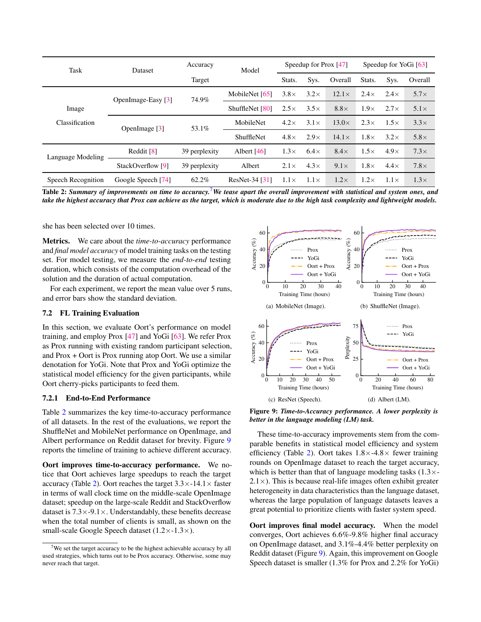<span id="page-9-2"></span>

| Task               | Dataset            | Accuracy      | Model             | Speedup for Prox [47] |             |              | Speedup for YoGi [63] |             |             |
|--------------------|--------------------|---------------|-------------------|-----------------------|-------------|--------------|-----------------------|-------------|-------------|
|                    |                    | Target        |                   | Stats.                | Sys.        | Overall      | Stats.                | Sys.        | Overall     |
|                    | OpenImage-Easy [3] | 74.9%         | MobileNet [65]    | $3.8\times$           | $3.2\times$ | $12.1\times$ | $2.4\times$           | $2.4\times$ | $5.7\times$ |
| Image              |                    |               | ShuffleNet [80]   | $2.5\times$           | $3.5\times$ | $8.8\times$  | $1.9\times$           | $2.7\times$ | $5.1\times$ |
| Classification     | OpenImage $[3]$    | 53.1%         | MobileNet         | $4.2\times$           | $3.1\times$ | $13.0\times$ | $2.3\times$           | $1.5\times$ | $3.3\times$ |
|                    |                    |               | <b>ShuffleNet</b> | $4.8\times$           | $2.9\times$ | $14.1\times$ | $1.8\times$           | $3.2\times$ | $5.8\times$ |
| Language Modeling  | Reddit [8]         | 39 perplexity | Albert $[46]$     | $1.3\times$           | $6.4\times$ | $8.4\times$  | $1.5\times$           | $4.9\times$ | $7.3\times$ |
|                    | StackOverflow [9]  | 39 perplexity | Albert            | $2.1\times$           | $4.3\times$ | $9.1\times$  | $1.8\times$           | $4.4\times$ | $7.8\times$ |
| Speech Recognition | Google Speech [74] | 62.2%         | ResNet-34 [31]    | $1.1\times$           | $1.1\times$ | $1.2\times$  | $1.2\times$           | $1.1\times$ | $1.3\times$ |

Table 2: *Summary of improvements on time to accuracy.*[7](#page-9-1)*We tease apart the overall improvement with statistical and system ones, and take the highest accuracy that Prox can achieve as the target, which is moderate due to the high task complexity and lightweight models.*

she has been selected over 10 times.

Metrics. We care about the *time-to-accuracy* performance and *final model accuracy* of model training tasks on the testing set. For model testing, we measure the *end-to-end* testing duration, which consists of the computation overhead of the solution and the duration of actual computation.

For each experiment, we report the mean value over 5 runs, and error bars show the standard deviation.

### 7.2 FL Training Evaluation

In this section, we evaluate Oort's performance on model training, and employ Prox [\[47\]](#page-15-4) and YoGi [\[63\]](#page-15-7). We refer Prox as Prox running with existing random participant selection, and Prox + Oort is Prox running atop Oort. We use a similar denotation for YoGi. Note that Prox and YoGi optimize the statistical model efficiency for the given participants, while Oort cherry-picks participants to feed them.

#### <span id="page-9-0"></span>7.2.1 End-to-End Performance

Table [2](#page-9-2) summarizes the key time-to-accuracy performance of all datasets. In the rest of the evaluations, we report the ShuffleNet and MobileNet performance on OpenImage, and Albert performance on Reddit dataset for brevity. Figure [9](#page-9-3) reports the timeline of training to achieve different accuracy.

Oort improves time-to-accuracy performance. We notice that Oort achieves large speedups to reach the target accuracy (Table [2\)](#page-9-2). Oort reaches the target  $3.3 \times -14.1 \times$  faster in terms of wall clock time on the middle-scale OpenImage dataset; speedup on the large-scale Reddit and StackOverflow dataset is  $7.3 \times -9.1 \times$ . Understandably, these benefits decrease when the total number of clients is small, as shown on the small-scale Google Speech dataset  $(1.2 \times -1.3 \times)$ .

<span id="page-9-3"></span>

Figure 9: *Time-to-Accuracy performance. A lower perplexity is better in the language modeling (LM) task.*

These time-to-accuracy improvements stem from the comparable benefits in statistical model efficiency and system efficiency (Table [2\)](#page-9-2). Oort takes  $1.8 \times -4.8 \times$  fewer training rounds on OpenImage dataset to reach the target accuracy, which is better than that of language modeling tasks  $(1.3 \times$  $2.1 \times$ ). This is because real-life images often exhibit greater heterogeneity in data characteristics than the language dataset, whereas the large population of language datasets leaves a great potential to prioritize clients with faster system speed.

Oort improves final model accuracy. When the model converges, Oort achieves 6.6%-9.8% higher final accuracy on OpenImage dataset, and 3.1%-4.4% better perplexity on Reddit dataset (Figure [9\)](#page-9-3). Again, this improvement on Google Speech dataset is smaller (1.3% for Prox and 2.2% for YoGi)

<span id="page-9-1"></span> $7$ We set the target accuracy to be the highest achievable accuracy by all used strategies, which turns out to be Prox accuracy. Otherwise, some may never reach that target.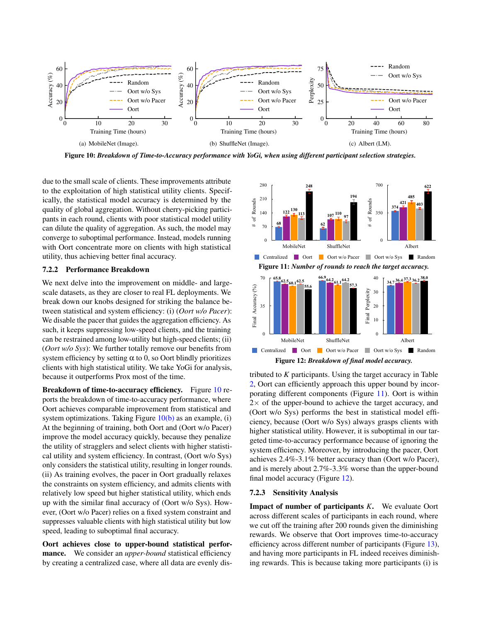<span id="page-10-2"></span>

.<br>Figure 10: *Breakdown of Time-to-Accuracy performance with YoGi, when using different participant selection strategies* 

due to the small scale of clients. These improvements attribute to the exploitation of high statistical utility clients. Specifically, the statistical model accuracy is determined by the quality of global aggregation. Without cherry-picking participants in each round, clients with poor statistical model utility can dilute the quality of aggregation. As such, the model may converge to suboptimal performance. Instead, models running with Oort concentrate more on clients with high statistical utility, thus achieving better final accuracy.

#### <span id="page-10-0"></span>7.2.2 Performance Breakdown

We next delve into the improvement on middle- and largescale datasets, as they are closer to real FL deployments. We break down our knobs designed for striking the balance between statistical and system efficiency: (i) (*Oort w/o Pacer*): We disable the pacer that guides the aggregation efficiency. As such, it keeps suppressing low-speed clients, and the training can be restrained among low-utility but high-speed clients; (ii) (*Oort w/o Sys*): We further totally remove our benefits from system efficiency by setting  $\alpha$  to 0, so Oort blindly prioritizes clients with high statistical utility. We take YoGi for analysis, because it outperforms Prox most of the time.

Breakdown of time-to-accuracy efficiency. Figure [10](#page-10-2) reports the breakdown of time-to-accuracy performance, where Oort achieves comparable improvement from statistical and system optimizations. Taking Figure  $10(b)$  as an example, (i) At the beginning of training, both Oort and (Oort w/o Pacer) improve the model accuracy quickly, because they penalize the utility of stragglers and select clients with higher statistical utility and system efficiency. In contrast, (Oort w/o Sys) only considers the statistical utility, resulting in longer rounds. (ii) As training evolves, the pacer in Oort gradually relaxes the constraints on system efficiency, and admits clients with relatively low speed but higher statistical utility, which ends up with the similar final accuracy of (Oort w/o Sys). However, (Oort w/o Pacer) relies on a fixed system constraint and suppresses valuable clients with high statistical utility but low speed, leading to suboptimal final accuracy.

Oort achieves close to upper-bound statistical performance. We consider an *upper-bound* statistical efficiency by creating a centralized case, where all data are evenly dis-

<span id="page-10-4"></span><span id="page-10-3"></span>

<span id="page-10-5"></span>**0.00 5.00 10.00 15.00 20.00 25.00 Kuipera 62.14 59.25 57.51 57.51 57.51 57.51 57.51 57.51 57.51 57.51 57.51 57.51 57.51 57.51 57.51 57.51 57.51 57.51 57.51 57.51 57.51 57.51 57.51 57.51 57.51 57.51 57.51 57.51 57.51 57.51 57.51 57.51 57.51 57.51 57.51 57.** [2,](#page-9-2) Oort can efficiently approach this upper bound by incor-porating different components (Figure [11\)](#page-10-4). Oort is within  $2 \times$  of the upper-bound to achieve the target accuracy, and higher statistical utility. However, it is suboptimal in our targeted time-to-accuracy performance because of ignoring the system efficiency. Moreover, by introducing the pacer, Oort achieves 2.4%-3.1% better accuracy than (Oort w/o Pacer), **Random** 38.0 0.6 37.8 38.0 38.3 Final Perplexity tributed to *K* participants. Using the target accuracy in Table (Oort w/o Sys) performs the best in statistical model efficiency, because (Oort w/o Sys) always grasps clients with and is merely about 2.7%-3.3% worse than the upper-bound final model accuracy (Figure [12\)](#page-10-5).

#### <span id="page-10-1"></span>**Random** 56.70 53.98 52.37 52.37 52.37 52.37 52.37 52.37 52.37 52.37 52.37 52.37 52.37 52.31 52.37 52.37 52.37 52.37 52.37 52.37 52.37 52.37 52.37 52.37 52.37 52.37 52.37 52.37 52.37 52.37 52.37 52.37 52.37 52.37 52.37 52. 7.2.3 Sensitivity Analysis

Impact of number of participants *K*. We evaluate Oort across different scales of participants in each round, where we cut off the training after 200 rounds given the diminishing rewards. We observe that Oort improves time-to-accuracy efficiency across different number of participants (Figure [13\)](#page-11-0), and having more participants in FL indeed receives diminishing rewards. This is because taking more participants (i) is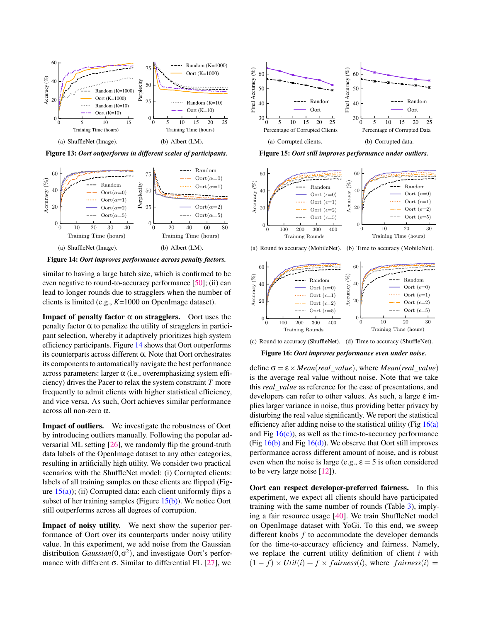<span id="page-11-0"></span>

Figure 13: *Oort outperforms in different scales of participants.*

<span id="page-11-1"></span>

Figure 14: *Oort improves performance across penalty factors.*

similar to having a large batch size, which is confirmed to be even negative to round-to-accuracy performance [\[50\]](#page-15-17); (ii) can lead to longer rounds due to stragglers when the number of clients is limited (e.g., *K*=1000 on OpenImage dataset).

**Impact of penalty factor**  $\alpha$  **on stragglers.** Oort uses the penalty factor  $\alpha$  to penalize the utility of stragglers in participant selection, whereby it adaptively prioritizes high system efficiency participants. Figure [14](#page-11-1) shows that Oort outperforms its counterparts across different α. Note that Oort orchestrates its components to automatically navigate the best performance across parameters: larger  $\alpha$  (i.e., overemphasizing system efficiency) drives the Pacer to relax the system constraint *T* more frequently to admit clients with higher statistical efficiency, and vice versa. As such, Oort achieves similar performance across all non-zero α.

Impact of outliers. We investigate the robustness of Oort by introducing outliers manually. Following the popular adversarial ML setting [\[26\]](#page-14-19), we randomly flip the ground-truth data labels of the OpenImage dataset to any other categories, resulting in artificially high utility. We consider two practical scenarios with the ShuffleNet model: (i) Corrupted clients: labels of all training samples on these clients are flipped (Figure  $15(a)$ ); (ii) Corrupted data: each client uniformly flips a subset of her training samples (Figure  $15(b)$ ). We notice Oort still outperforms across all degrees of corruption.

Impact of noisy utility. We next show the superior performance of Oort over its counterparts under noisy utility value. In this experiment, we add noise from the Gaussian distribution *Gaussian*(0,σ 2 ), and investigate Oort's performance with different  $\sigma$ . Similar to differential FL [\[27\]](#page-14-9), we

<span id="page-11-2"></span>

<span id="page-11-3"></span>Figure 15: *Oort still improves performance under outliers.*

<span id="page-11-4"></span>

<span id="page-11-6"></span>(a) Round to accuracy (MobileNet). (b) Time to accuracy (MobileNet).



<span id="page-11-5"></span>(c) Round to accuracy (ShuffleNet). (d) Time to accuracy (ShuffleNet).

<span id="page-11-7"></span>Figure 16: *Oort improves performance even under noise.*

define  $\sigma = \varepsilon \times Mean (real value)$ , where *Mean*(*real value*) is the average real value without noise. Note that we take this *real*\_*value* as reference for the ease of presentations, and developers can refer to other values. As such, a large ε implies larger variance in noise, thus providing better privacy by disturbing the real value significantly. We report the statistical efficiency after adding noise to the statistical utility (Fig  $16(a)$ ) and Fig  $16(c)$ , as well as the time-to-accuracy performance (Fig  $16(b)$  and Fig  $16(d)$ ). We observe that Oort still improves performance across different amount of noise, and is robust even when the noise is large (e.g.,  $\varepsilon = 5$  is often considered to be very large noise [\[12\]](#page-13-12)).

Oort can respect developer-preferred fairness. In this experiment, we expect all clients should have participated training with the same number of rounds (Table [3\)](#page-12-3), implying a fair resource usage [\[40\]](#page-15-0). We train ShuffleNet model on OpenImage dataset with YoGi. To this end, we sweep different knobs *f* to accommodate the developer demands for the time-to-accuracy efficiency and fairness. Namely, we replace the current utility definition of client *i* with  $(1 - f) \times \text{Util}(i) + f \times \text{fairness}(i)$ , where  $\text{fairness}(i) =$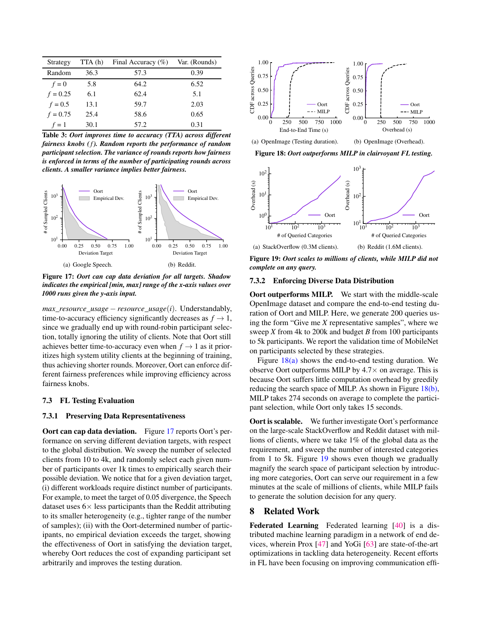<span id="page-12-3"></span>

| Strategy   | TTA(h) | Final Accuracy $(\% )$ | Var. (Rounds) |
|------------|--------|------------------------|---------------|
| Random     | 36.3   | 57.3                   | 0.39          |
| $f=0$      | 5.8    | 64.2                   | 6.52          |
| $f = 0.25$ | 6.1    | 62.4                   | 5.1           |
| $f = 0.5$  | 13.1   | 59.7                   | 2.03          |
| $f = 0.75$ | 25.4   | 58.6                   | 0.65          |
| $f=1$      | 30.1   | 57.2                   | 0.31          |

Table 3: *Oort improves time to accuracy (TTA) across different fairness knobs (f). Random reports the performance of random participant selection. The variance of rounds reports how fairness is enforced in terms of the number of participating rounds across clients. A smaller variance implies better fairness.*

<span id="page-12-4"></span>

Figure 17: *Oort can cap data deviation for all targets. Shadow indicates the empirical [min, max] range of the x-axis values over 1000 runs given the y-axis input.*

*max* resource usage – *resource* usage(*i*). Understandably, time-to-accuracy efficiency significantly decreases as  $f \to 1$ , since we gradually end up with round-robin participant selection, totally ignoring the utility of clients. Note that Oort still achieves better time-to-accuracy even when  $f \to 1$  as it prioritizes high system utility clients at the beginning of training, thus achieving shorter rounds. Moreover, Oort can enforce different fairness preferences while improving efficiency across fairness knobs.

#### 7.3 FL Testing Evaluation

#### <span id="page-12-2"></span>7.3.1 Preserving Data Representativeness

<span id="page-12-1"></span>Oort can cap data deviation. Figure [17](#page-12-4) reports Oort's performance on serving different deviation targets, with respect to the global distribution. We sweep the number of selected clients from 10 to 4k, and randomly select each given number of participants over 1k times to empirically search their possible deviation. We notice that for a given deviation target, (i) different workloads require distinct number of participants. For example, to meet the target of 0.05 divergence, the Speech dataset uses  $6 \times$  less participants than the Reddit attributing to its smaller heterogeneity (e.g., tighter range of the number of samples); (ii) with the Oort-determined number of participants, no empirical deviation exceeds the target, showing the effectiveness of Oort in satisfying the deviation target, whereby Oort reduces the cost of expanding participant set arbitrarily and improves the testing duration.

<span id="page-12-5"></span>

<span id="page-12-6"></span>(a) OpenImage (Testing duration). (b) OpenImage (Overhead).

Figure 18: *Oort outperforms MILP in clairvoyant FL testing.*

<span id="page-12-7"></span>

Figure 19: *Oort scales to millions of clients, while MILP did not complete on any query.*

### 7.3.2 Enforcing Diverse Data Distribution

Oort outperforms MILP. We start with the middle-scale OpenImage dataset and compare the end-to-end testing duration of Oort and MILP. Here, we generate 200 queries using the form "Give me *X* representative samples", where we sweep *X* from 4k to 200k and budget *B* from 100 participants to 5k participants. We report the validation time of MobileNet on participants selected by these strategies.

Figure [18\(a\)](#page-12-5) shows the end-to-end testing duration. We observe Oort outperforms MILP by  $4.7\times$  on average. This is because Oort suffers little computation overhead by greedily reducing the search space of MILP. As shown in Figure [18\(b\),](#page-12-6) MILP takes 274 seconds on average to complete the participant selection, while Oort only takes 15 seconds.

Oort is scalable. We further investigate Oort's performance on the large-scale StackOverflow and Reddit dataset with millions of clients, where we take 1% of the global data as the requirement, and sweep the number of interested categories from 1 to 5k. Figure [19](#page-12-7) shows even though we gradually magnify the search space of participant selection by introducing more categories, Oort can serve our requirement in a few minutes at the scale of millions of clients, while MILP fails to generate the solution decision for any query.

### <span id="page-12-0"></span>8 Related Work

Federated Learning Federated learning [\[40\]](#page-15-0) is a distributed machine learning paradigm in a network of end devices, wherein Prox [\[47\]](#page-15-4) and YoGi [\[63\]](#page-15-7) are state-of-the-art optimizations in tackling data heterogeneity. Recent efforts in FL have been focusing on improving communication effi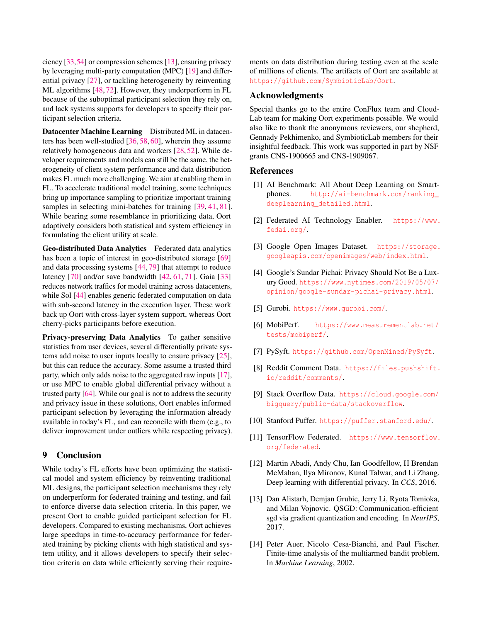ciency [\[33,](#page-14-20)[54\]](#page-15-6) or compression schemes [\[13\]](#page-13-13), ensuring privacy by leveraging multi-party computation (MPC) [\[19\]](#page-14-21) and differential privacy [\[27\]](#page-14-9), or tackling heterogeneity by reinventing ML algorithms [\[48,](#page-15-11) [72\]](#page-16-3). However, they underperform in FL because of the suboptimal participant selection they rely on, and lack systems supports for developers to specify their participant selection criteria.

Datacenter Machine Learning Distributed ML in datacenters has been well-studied [\[36,](#page-14-22) [58,](#page-15-18) [60\]](#page-15-19), wherein they assume relatively homogeneous data and workers [\[28,](#page-14-23) [52\]](#page-15-20). While developer requirements and models can still be the same, the heterogeneity of client system performance and data distribution makes FL much more challenging. We aim at enabling them in FL. To accelerate traditional model training, some techniques bring up importance sampling to prioritize important training samples in selecting mini-batches for training [\[39,](#page-14-12) [41,](#page-15-12) [81\]](#page-16-12). While bearing some resemblance in prioritizing data, Oort adaptively considers both statistical and system efficiency in formulating the client utility at scale.

Geo-distributed Data Analytics Federated data analytics has been a topic of interest in geo-distributed storage [\[69\]](#page-16-14) and data processing systems [\[44,](#page-15-21) [79\]](#page-16-15) that attempt to reduce latency [\[70\]](#page-16-16) and/or save bandwidth [\[42,](#page-15-22) [61,](#page-15-23) [71\]](#page-16-17). Gaia [\[33\]](#page-14-20) reduces network traffics for model training across datacenters, while Sol [\[44\]](#page-15-21) enables generic federated computation on data with sub-second latency in the execution layer. These work back up Oort with cross-layer system support, whereas Oort cherry-picks participants before execution.

Privacy-preserving Data Analytics To gather sensitive statistics from user devices, several differentially private systems add noise to user inputs locally to ensure privacy [\[25\]](#page-14-14), but this can reduce the accuracy. Some assume a trusted third party, which only adds noise to the aggregated raw inputs [\[17\]](#page-14-24), or use MPC to enable global differential privacy without a trusted party [\[64\]](#page-16-13). While our goal is not to address the security and privacy issue in these solutions, Oort enables informed participant selection by leveraging the information already available in today's FL, and can reconcile with them (e.g., to deliver improvement under outliers while respecting privacy).

### 9 Conclusion

While today's FL efforts have been optimizing the statistical model and system efficiency by reinventing traditional ML designs, the participant selection mechanisms they rely on underperform for federated training and testing, and fail to enforce diverse data selection criteria. In this paper, we present Oort to enable guided participant selection for FL developers. Compared to existing mechanisms, Oort achieves large speedups in time-to-accuracy performance for federated training by picking clients with high statistical and system utility, and it allows developers to specify their selection criteria on data while efficiently serving their requirements on data distribution during testing even at the scale of millions of clients. The artifacts of Oort are available at <https://github.com/SymbioticLab/Oort>.

### Acknowledgments

Special thanks go to the entire ConFlux team and Cloud-Lab team for making Oort experiments possible. We would also like to thank the anonymous reviewers, our shepherd, Gennady Pekhimenko, and SymbioticLab members for their insightful feedback. This work was supported in part by NSF grants CNS-1900665 and CNS-1909067.

### References

- <span id="page-13-10"></span>[1] AI Benchmark: All About Deep Learning on Smartphones. [http://ai-benchmark.com/ranking\\_](http://ai-benchmark.com/ranking_deeplearning_detailed.html) [deeplearning\\_detailed.html](http://ai-benchmark.com/ranking_deeplearning_detailed.html).
- <span id="page-13-0"></span>[2] Federated AI Technology Enabler. [https://www.](https://www.fedai.org/) [fedai.org/](https://www.fedai.org/).
- <span id="page-13-3"></span>[3] Google Open Images Dataset. [https://storage.](https://storage.googleapis.com/openimages/web/index.html) [googleapis.com/openimages/web/index.html](https://storage.googleapis.com/openimages/web/index.html).
- <span id="page-13-2"></span>[4] Google's Sundar Pichai: Privacy Should Not Be a Luxury Good. [https://www.nytimes.com/2019/05/07/](https://www.nytimes.com/2019/05/07/opinion/google-sundar-pichai-privacy.html) [opinion/google-sundar-pichai-privacy.html](https://www.nytimes.com/2019/05/07/opinion/google-sundar-pichai-privacy.html).
- <span id="page-13-9"></span>[5] Gurobi. <https://www.gurobi.com/>.
- <span id="page-13-11"></span>[6] MobiPerf. [https://www.measurementlab.net/](https://www.measurementlab.net/tests/mobiperf/) [tests/mobiperf/](https://www.measurementlab.net/tests/mobiperf/).
- <span id="page-13-6"></span>[7] PySyft. <https://github.com/OpenMined/PySyft>.
- <span id="page-13-5"></span>[8] Reddit Comment Data. [https://files.pushshift.](https://files.pushshift.io/reddit/comments/) [io/reddit/comments/](https://files.pushshift.io/reddit/comments/).
- <span id="page-13-4"></span>[9] Stack Overflow Data. [https://cloud.google.com/](https://cloud.google.com/bigquery/public-data/stackoverflow) [bigquery/public-data/stackoverflow](https://cloud.google.com/bigquery/public-data/stackoverflow).
- <span id="page-13-1"></span>[10] Stanford Puffer. <https://puffer.stanford.edu/>.
- <span id="page-13-7"></span>[11] TensorFlow Federated. [https://www.tensorflow.](https://www.tensorflow.org/federated) [org/federated](https://www.tensorflow.org/federated).
- <span id="page-13-12"></span>[12] Martin Abadi, Andy Chu, Ian Goodfellow, H Brendan McMahan, Ilya Mironov, Kunal Talwar, and Li Zhang. Deep learning with differential privacy. In *CCS*, 2016.
- <span id="page-13-13"></span>[13] Dan Alistarh, Demjan Grubic, Jerry Li, Ryota Tomioka, and Milan Vojnovic. QSGD: Communication-efficient sgd via gradient quantization and encoding. In *NeurIPS*, 2017.
- <span id="page-13-8"></span>[14] Peter Auer, Nicolo Cesa-Bianchi, and Paul Fischer. Finite-time analysis of the multiarmed bandit problem. In *Machine Learning*, 2002.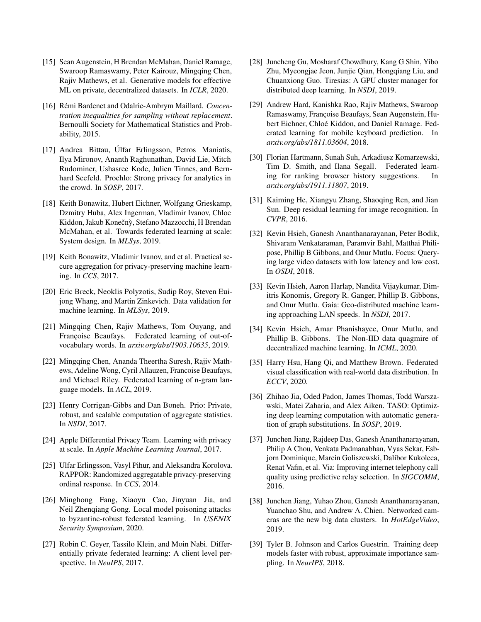- <span id="page-14-10"></span>[15] Sean Augenstein, H Brendan McMahan, Daniel Ramage, Swaroop Ramaswamy, Peter Kairouz, Mingqing Chen, Rajiv Mathews, et al. Generative models for effective ML on private, decentralized datasets. In *ICLR*, 2020.
- <span id="page-14-15"></span>[16] Rémi Bardenet and Odalric-Ambrym Maillard. *Concentration inequalities for sampling without replacement*. Bernoulli Society for Mathematical Statistics and Probability, 2015.
- <span id="page-14-24"></span>[17] Andrea Bittau, Úlfar Erlingsson, Petros Maniatis, Ilya Mironov, Ananth Raghunathan, David Lie, Mitch Rudominer, Ushasree Kode, Julien Tinnes, and Bernhard Seefeld. Prochlo: Strong privacy for analytics in the crowd. In *SOSP*, 2017.
- <span id="page-14-0"></span>[18] Keith Bonawitz, Hubert Eichner, Wolfgang Grieskamp, Dzmitry Huba, Alex Ingerman, Vladimir Ivanov, Chloe Kiddon, Jakub Konečnỳ, Stefano Mazzocchi, H Brendan McMahan, et al. Towards federated learning at scale: System design. In *MLSys*, 2019.
- <span id="page-14-21"></span>[19] Keith Bonawitz, Vladimir Ivanov, and et al. Practical secure aggregation for privacy-preserving machine learning. In *CCS*, 2017.
- <span id="page-14-5"></span>[20] Eric Breck, Neoklis Polyzotis, Sudip Roy, Steven Euijong Whang, and Martin Zinkevich. Data validation for machine learning. In *MLSys*, 2019.
- <span id="page-14-11"></span>[21] Mingqing Chen, Rajiv Mathews, Tom Ouyang, and Françoise Beaufays. Federated learning of out-ofvocabulary words. In *arxiv.org/abs/1903.10635*, 2019.
- <span id="page-14-7"></span>[22] Mingqing Chen, Ananda Theertha Suresh, Rajiv Mathews, Adeline Wong, Cyril Allauzen, Francoise Beaufays, and Michael Riley. Federated learning of n-gram language models. In *ACL*, 2019.
- <span id="page-14-16"></span>[23] Henry Corrigan-Gibbs and Dan Boneh. Prio: Private, robust, and scalable computation of aggregate statistics. In *NSDI*, 2017.
- <span id="page-14-1"></span>[24] Apple Differential Privacy Team. Learning with privacy at scale. In *Apple Machine Learning Journal*, 2017.
- <span id="page-14-14"></span>[25] Ulfar Erlingsson, Vasyl Pihur, and Aleksandra Korolova. RAPPOR: Randomized aggregatable privacy-preserving ordinal response. In *CCS*, 2014.
- <span id="page-14-19"></span>[26] Minghong Fang, Xiaoyu Cao, Jinyuan Jia, and Neil Zhenqiang Gong. Local model poisoning attacks to byzantine-robust federated learning. In *USENIX Security Symposium*, 2020.
- <span id="page-14-9"></span>[27] Robin C. Geyer, Tassilo Klein, and Moin Nabi. Differentially private federated learning: A client level perspective. In *NeuIPS*, 2017.
- <span id="page-14-23"></span>[28] Juncheng Gu, Mosharaf Chowdhury, Kang G Shin, Yibo Zhu, Myeongjae Jeon, Junjie Qian, Hongqiang Liu, and Chuanxiong Guo. Tiresias: A GPU cluster manager for distributed deep learning. In *NSDI*, 2019.
- <span id="page-14-18"></span>[29] Andrew Hard, Kanishka Rao, Rajiv Mathews, Swaroop Ramaswamy, Françoise Beaufays, Sean Augenstein, Hubert Eichner, Chloé Kiddon, and Daniel Ramage. Federated learning for mobile keyboard prediction. In *arxiv.org/abs/1811.03604*, 2018.
- <span id="page-14-2"></span>[30] Florian Hartmann, Sunah Suh, Arkadiusz Komarzewski, Tim D. Smith, and Ilana Segall. Federated learning for ranking browser history suggestions. In *arxiv.org/abs/1911.11807*, 2019.
- <span id="page-14-17"></span>[31] Kaiming He, Xiangyu Zhang, Shaoqing Ren, and Jian Sun. Deep residual learning for image recognition. In *CVPR*, 2016.
- <span id="page-14-3"></span>[32] Kevin Hsieh, Ganesh Ananthanarayanan, Peter Bodik, Shivaram Venkataraman, Paramvir Bahl, Matthai Philipose, Phillip B Gibbons, and Onur Mutlu. Focus: Querying large video datasets with low latency and low cost. In *OSDI*, 2018.
- <span id="page-14-20"></span>[33] Kevin Hsieh, Aaron Harlap, Nandita Vijaykumar, Dimitris Konomis, Gregory R. Ganger, Phillip B. Gibbons, and Onur Mutlu. Gaia: Geo-distributed machine learning approaching LAN speeds. In *NSDI*, 2017.
- <span id="page-14-6"></span>[34] Kevin Hsieh, Amar Phanishayee, Onur Mutlu, and Phillip B. Gibbons. The Non-IID data quagmire of decentralized machine learning. In *ICML*, 2020.
- <span id="page-14-8"></span>[35] Harry Hsu, Hang Qi, and Matthew Brown. Federated visual classification with real-world data distribution. In *ECCV*, 2020.
- <span id="page-14-22"></span>[36] Zhihao Jia, Oded Padon, James Thomas, Todd Warszawski, Matei Zaharia, and Alex Aiken. TASO: Optimizing deep learning computation with automatic generation of graph substitutions. In *SOSP*, 2019.
- <span id="page-14-13"></span>[37] Junchen Jiang, Rajdeep Das, Ganesh Ananthanarayanan, Philip A Chou, Venkata Padmanabhan, Vyas Sekar, Esbjorn Dominique, Marcin Goliszewski, Dalibor Kukoleca, Renat Vafin, et al. Via: Improving internet telephony call quality using predictive relay selection. In *SIGCOMM*, 2016.
- <span id="page-14-4"></span>[38] Junchen Jiang, Yuhao Zhou, Ganesh Ananthanarayanan, Yuanchao Shu, and Andrew A. Chien. Networked cameras are the new big data clusters. In *HotEdgeVideo*, 2019.
- <span id="page-14-12"></span>[39] Tyler B. Johnson and Carlos Guestrin. Training deep models faster with robust, approximate importance sampling. In *NeurIPS*, 2018.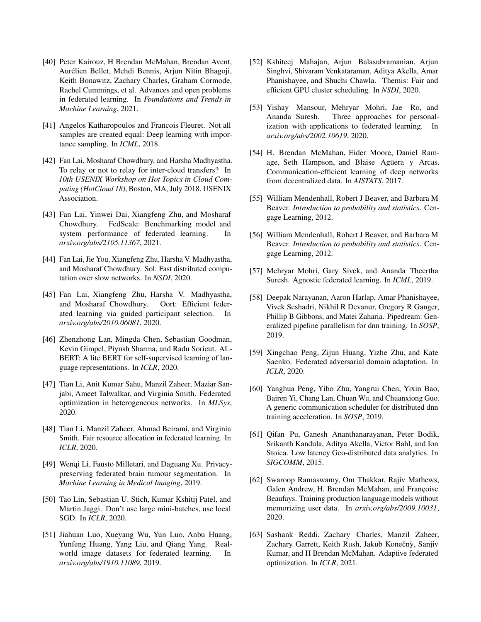- <span id="page-15-0"></span>[40] Peter Kairouz, H Brendan McMahan, Brendan Avent, Aurélien Bellet, Mehdi Bennis, Arjun Nitin Bhagoji, Keith Bonawitz, Zachary Charles, Graham Cormode, Rachel Cummings, et al. Advances and open problems in federated learning. In *Foundations and Trends in Machine Learning*, 2021.
- <span id="page-15-12"></span>[41] Angelos Katharopoulos and Francois Fleuret. Not all samples are created equal: Deep learning with importance sampling. In *ICML*, 2018.
- <span id="page-15-22"></span>[42] Fan Lai, Mosharaf Chowdhury, and Harsha Madhyastha. To relay or not to relay for inter-cloud transfers? In *10th USENIX Workshop on Hot Topics in Cloud Computing (HotCloud 18)*, Boston, MA, July 2018. USENIX Association.
- <span id="page-15-15"></span>[43] Fan Lai, Yinwei Dai, Xiangfeng Zhu, and Mosharaf Chowdhury. FedScale: Benchmarking model and system performance of federated learning. In *arxiv.org/abs/2105.11367*, 2021.
- <span id="page-15-21"></span>[44] Fan Lai, Jie You, Xiangfeng Zhu, Harsha V. Madhyastha, and Mosharaf Chowdhury. Sol: Fast distributed computation over slow networks. In *NSDI*, 2020.
- <span id="page-15-13"></span>[45] Fan Lai, Xiangfeng Zhu, Harsha V. Madhyastha, and Mosharaf Chowdhury. Oort: Efficient federated learning via guided participant selection. In *arxiv.org/abs/2010.06081*, 2020.
- <span id="page-15-16"></span>[46] Zhenzhong Lan, Mingda Chen, Sebastian Goodman, Kevin Gimpel, Piyush Sharma, and Radu Soricut. AL-BERT: A lite BERT for self-supervised learning of language representations. In *ICLR*, 2020.
- <span id="page-15-4"></span>[47] Tian Li, Anit Kumar Sahu, Manzil Zaheer, Maziar Sanjabi, Ameet Talwalkar, and Virginia Smith. Federated optimization in heterogeneous networks. In *MLSys*, 2020.
- <span id="page-15-11"></span>[48] Tian Li, Manzil Zaheer, Ahmad Beirami, and Virginia Smith. Fair resource allocation in federated learning. In *ICLR*, 2020.
- <span id="page-15-1"></span>[49] Wenqi Li, Fausto Milletari, and Daguang Xu. Privacypreserving federated brain tumour segmentation. In *Machine Learning in Medical Imaging*, 2019.
- <span id="page-15-17"></span>[50] Tao Lin, Sebastian U. Stich, Kumar Kshitij Patel, and Martin Jaggi. Don't use large mini-batches, use local SGD. In *ICLR*, 2020.
- <span id="page-15-2"></span>[51] Jiahuan Luo, Xueyang Wu, Yun Luo, Anbu Huang, Yunfeng Huang, Yang Liu, and Qiang Yang. Realworld image datasets for federated learning. In *arxiv.org/abs/1910.11089*, 2019.
- <span id="page-15-20"></span>[52] Kshiteej Mahajan, Arjun Balasubramanian, Arjun Singhvi, Shivaram Venkataraman, Aditya Akella, Amar Phanishayee, and Shuchi Chawla. Themis: Fair and efficient GPU cluster scheduling. In *NSDI*, 2020.
- <span id="page-15-9"></span>[53] Yishay Mansour, Mehryar Mohri, Jae Ro, and Ananda Suresh. Three approaches for personalization with applications to federated learning. In *arxiv.org/abs/2002.10619*, 2020.
- <span id="page-15-6"></span>[54] H. Brendan McMahan, Eider Moore, Daniel Ramage, Seth Hampson, and Blaise Agüera y Arcas. Communication-efficient learning of deep networks from decentralized data. In *AISTATS*, 2017.
- <span id="page-15-10"></span>[55] William Mendenhall, Robert J Beaver, and Barbara M Beaver. *Introduction to probability and statistics*. Cengage Learning, 2012.
- <span id="page-15-14"></span>[56] William Mendenhall, Robert J Beaver, and Barbara M Beaver. *Introduction to probability and statistics*. Cengage Learning, 2012.
- <span id="page-15-3"></span>[57] Mehryar Mohri, Gary Sivek, and Ananda Theertha Suresh. Agnostic federated learning. In *ICML*, 2019.
- <span id="page-15-18"></span>[58] Deepak Narayanan, Aaron Harlap, Amar Phanishayee, Vivek Seshadri, Nikhil R Devanur, Gregory R Ganger, Phillip B Gibbons, and Matei Zaharia. Pipedream: Generalized pipeline parallelism for dnn training. In *SOSP*, 2019.
- <span id="page-15-5"></span>[59] Xingchao Peng, Zijun Huang, Yizhe Zhu, and Kate Saenko. Federated adversarial domain adaptation. In *ICLR*, 2020.
- <span id="page-15-19"></span>[60] Yanghua Peng, Yibo Zhu, Yangrui Chen, Yixin Bao, Bairen Yi, Chang Lan, Chuan Wu, and Chuanxiong Guo. A generic communication scheduler for distributed dnn training acceleration. In *SOSP*, 2019.
- <span id="page-15-23"></span>[61] Qifan Pu, Ganesh Ananthanarayanan, Peter Bodik, Srikanth Kandula, Aditya Akella, Victor Bahl, and Ion Stoica. Low latency Geo-distributed data analytics. In *SIGCOMM*, 2015.
- <span id="page-15-8"></span>[62] Swaroop Ramaswamy, Om Thakkar, Rajiv Mathews, Galen Andrew, H. Brendan McMahan, and Françoise Beaufays. Training production language models without memorizing user data. In *arxiv.org/abs/2009.10031*, 2020.
- <span id="page-15-7"></span>[63] Sashank Reddi, Zachary Charles, Manzil Zaheer, Zachary Garrett, Keith Rush, Jakub Konečnỳ, Sanjiv Kumar, and H Brendan McMahan. Adaptive federated optimization. In *ICLR*, 2021.